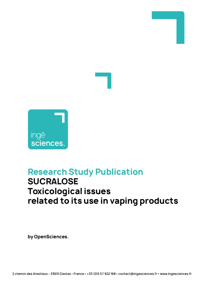

# **Research Study Publication SUCRALOSE Toxicological issues related to its use in vaping products**

**by OpenSciences.**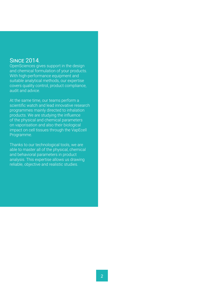### **SINCE 2014**

OpenSciences gives support in the design and chemical formulation of your products. With high-performance equipment and suitable analytical methods, our expertise covers quality control, product compliance, audit and advice.

At the same time, our teams perform a scientific watch and lead innovative research programmes mainly directed to inhalation products. We are studying the influence of the physical and chemical parameters on vaporisation and also their biological impact on cell tissues through the VapEcell Programme.

Thanks to our technological tools, we are able to master all of the physical, chemical and behavioral parameters in product analysis. This expertise allows us drawing reliable, objective and realistic studies.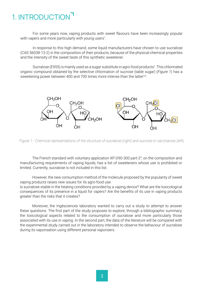## 1. INTRODUCTION

For some years now, vaping products with sweet flavours have been increasingly popular with vapers and more particularly with young users<sup>1</sup>.

In response to this high demand, some liquid manufacturers have chosen to use sucralose (CAS 56038-13-2) in the composition of their products, because of the physical-chemical properties and the intensity of the sweet taste of this synthetic sweetener.

Sucralose (E955) is mainly used as a sugar substitute in agro-food products<sup>2</sup>. This chlorinated organic compound obtained by the selective chlorination of sucrose (table sugar) (*Figure 1*) has a sweetening power between 400 and 700 times more intense than the latter<sup>3,4</sup>.



*Figure 1 - Chemical representations of the structure of sucralose (right) and sucrose or saccharose (left).*

The French standard with voluntary application XP-D90-300 part-2<sup>5</sup>, on the composition and manufacturing requirements of vaping liquids, has a list of sweeteners whose use is prohibited or limited. Currently, sucralose is not included in this list.

However, the new consumption method of the molecule proposed by the popularity of sweet vaping products raises new issues for its agro-food use.

Is sucralose stable in the heating conditions provided by a vaping device? What are the toxicological consequences of its presence in a liquid for vapers? Are the benefits of its use in vaping products greater than the risks that it creates?

Moreover, the Ingésciences laboratory wanted to carry out a study to attempt to answer these questions. The first part of the study proposes to explore, through a bibliographic summary, the toxicological aspects related to the consumption of sucralose and more particularly those associated with its use in vaping. In the second part, the data of the literature will be compared with the experimental study carried out in the laboratory intended to observe the behaviour of sucralose during its vaporisation using different personal vaporisers.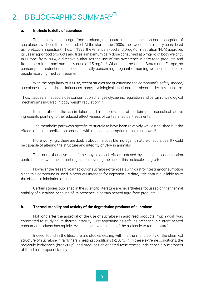## 2. BIBLIOGRAPHIC SUMMARY<sup>7</sup>

#### **a. Intrinsic toxicity of sucralose**

Traditionally used in agro-food products, the gastro-intestinal ingestion and absorption of sucralose have been the most studied. At the start of the 2000s, the sweetener is mainly considered as non-toxic in ingestion<sup>6</sup>. Thus, in 1999, the American Food and Drug Administration (FDA) approves its use in agro-food products and fixes a maximum daily dose consumed at 5 mg/kg of body weight<sup>7</sup>. In Europe, from 2004, a directive authorises the use of this sweetener in agro-food products and fixes a permitted maximum daily dose of 15 mg/kg<sup>8</sup>. Whether in the United States or in Europe, no consumption restriction is applied especially concerning pregnant or nursing women, diabetics or people receiving medical treatment.

With the popularity of its use, recent studies are questioning the compound's safety. Indeed, sucralose intervenes in and influences many physiological functions once absorbed by the organism<sup>2</sup>.

Thus, it appears that sucralose consumption changes glycaemic regulation and certain physiological mechanisms involved in body weight regulation<sup>9,10</sup>.

It also affects the assimilation and metabolization of certain pharmaceutical active ingredients pointing to the reduced effectiveness of certain medical treatments<sup>11</sup>.

The metabolic pathways specific to sucralose have been relatively well established but the effects of its metabolization products with regular consumption remain unknown<sup>12</sup>.

More worryingly, there are doubts about the possible mutagenic nature of sucralose. It would be capable of altering the structure and integrity of DNA in animals<sup>13</sup>.

This non-exhaustive list of the physiological effects caused by sucralose consumption contrasts then with the current regulation covering the use of this molecule in agro-food.

However, the research carried out on sucralose often deals with gastro-intestinal consumption since this compound is used in products intended for ingestion. To date, little data is available as to the effects in inhalation of sucralose.

Certain studies published in the scientific literature are nevertheless focussed on the thermal stability of sucralose because of its presence in certain heated agro-food products.

#### **b. Thermal stability and toxicity of the degradation products of sucralose**

Not long after the approval of the use of sucralose in agro-feed products, much work was committed to studying its thermal stability. First appearing as safe, its presence in current heated consumer products has rapidly revealed the low tolerance of the molecule to temperature<sup>14</sup>.

Indeed, found in the literature are studies dealing with the thermal stability of the chemical structure of sucralose in fairly harsh heating conditions (>250°C)<sup>15</sup>. In these extreme conditions, the molecule hydrolyses (breaks up), and produces chlorinated toxic compounds especially members of the chloropropanol family.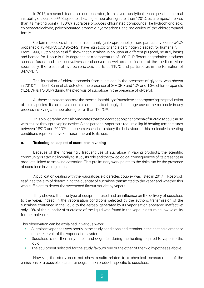In 2015, a research team also demonstrated, from several analytical techniques, the thermal instability of sucralose<sup>20</sup>. Subject to a heating temperature greater than 120°C, i.e. a temperature less than its melting point (=130°C), sucralose produces chlorinated compounds like hydrochloric acid, chloroacetaldehyde, polychlorinated aromatic hydrocarbons and molecules of the chloropropanol family.

Certain molecules of this chemical family (chloropropanols), more particularly 3-chloro-1,2 propanediol (3-MCPD; CAS 96-24-2), have high toxicity and a carcinogenic aspect for humans<sup>16</sup>. From 1999, Hutchinson et al.<sup>17</sup> show that sucralose in solution at different pH (acid, neutral, basic) and heated for 1 hour is fully degraded at a temperature of 180°C. Different degradation products such as furans and their derivatives are observed as well as acidification of the medium. More specifically, the release of hydrochloric acid starts at 119°C and participates in the formation of 3-MCPD18.

The formation of chloropropanols from sucralose in the presence of glycerol was shown in 2010<sup>19</sup>. Indeed, Rahn et al. detected the presence of 3-MCPD and 1,2- and 1,3-dichloropropanols (1,2-DCP & 1,3-DCP) during the pyrolysis of sucralose in the presence of glycerol.

All these items demonstrate the thermal instability of sucralose accompanying the production of toxic species. It also drives certain scientists to strongly discourage use of the molecule in any process involving a temperature greater than 120°C<sup>20</sup>.

This bibliographic data also indicates that the degradation phenomena of sucralose could arise with its use through a vaping device. Since personal vaporisers require e-liquid heating temperatures between 189°C and 292°C<sup>21</sup>, it appears essential to study the behaviour of this molecule in heating conditions representative of those inherent to its use.

#### **c. Toxicological aspect of sucralose in vaping**

Because of the increasingly frequent use of sucralose in vaping products, the scientific community is starting logically to study its role and the toxicological consequences of its presence in products linked to smoking cessation. This preliminary work points to the risks run by the presence of sucralose in vaping liquids.

A publication dealing with the «sucralose/e-cigarettes couple» was listed in 201722. Rosbrook et *al.* had the aim of determining the quantity of sucralose transmitted to the vaper and whether this was sufficient to detect the sweetened flavour sought by vapers.

They showed that the type of equipment used had an influence on the delivery of sucralose to the vaper. Indeed, in the vaporisation conditions selected by the authors, transmission of the sucralose contained in the liquid to the aerosol generated by its vaporisation appeared ineffective: only 10% of the quantity of sucralose of the liquid was found in the vapour, assuming low volatility for the molecule.

This observation can be explained in various ways:

- Sucralose vaporises very poorly in the study conditions and remains in the heating element or in the reservoir of the vaporisation system.
- Sucralose is not thermally stable and degrades during the heating required to vaporise the liquid.
- The equipment selected for the study favours one or the other of the two hypotheses above.

However, the study does not show results related to a chemical measurement of the emissions or a possible search for degradation products specific to sucralose.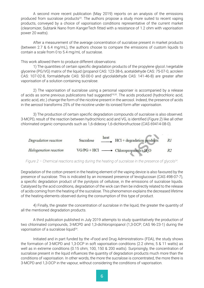A second more recent publication (May 2019) reports on an analysis of the emissions produced from sucralose products<sup>23</sup>. The authors propose a study more suited to recent vaping products, conveyed by a choice of vaporisation conditions representative of the current market (clearomizer, Subtank Nano from KangerTech fitted with a resistance of 1.2 ohm with vaporisation power 20 watts).

After a measurement of the average concentration of sucralose present in market products (between 2.7 & 6.4 mg/mL), the authors choose to compare the emissions of custom liquids to contain a scale from 0 to 5.4 mg/mL of sucralose.

This work allowed them to produce different observations:

1) The quantities of certain specific degradation products of the propylene glycol /vegetable glycerine (PG/VG) matrix of the liquid (propanol CAS: 123-38-6, acetaldehyde CAS: 75-07-0, acrolein CAS: 107-02-8, formaldehyde CAS: 50-00-0 and glycolaldehyde CAS: 141-46-8) are greater after vaporisation of a solution containing sucralose.

2) The vaporisation of sucralose using a personal vaporiser is accompanied by a release of acids as some previous publications had suggested<sup>19,20</sup>. The acids produced (hydrochloric acid, acetic acid, etc.) change the form of the nicotine present in the aerosol. Indeed, the presence of acids in the aerosol transforms 25% of the nicotine under its ionised form after vaporisation.

3) The production of certain specific degradation compounds of sucralose is also observed. 3-MCPD, result of the reaction between hydrochloric acid and VG, is identified (*Figure 2*) like all other chlorinated organic compounds such as 1,6-dideoxy-1,6-dichlorofructose (CAS 69414-08-0).



Figure 2 – Chemical reactions acting during the heating of sucralose in the presence of glycols<sup>24</sup>.

Degradation of the cotton present in the heating element of the vaping device is also favoured by the presence of sucralose. This is indicated by an increased presence of levoglucosan (CAS 498-07-7), a specific degradation product of the pyrolysis of cellulose, in the emissions of sucralose liquids. Catalysed by the acid conditions, degradation of the wick can then be indirectly related to the release of acids coming from the heating of the sucralose. This phenomenon explains the decreased lifetime of the heating elements observed during the consumption of this type of product.

4) Finally, the greater the concentration of sucralose in the liquid, the greater the quantity of all the mentioned degradation products.

A third publication published in July 2019 attempts to study quantitatively the production of two chlorinated compounds, 3-MCPD and 1,3-dichloropropanol (1,3-DCP; CAS 96-23-1) during the vaporisation of a sucralose liquid<sup>24</sup>.

Initiated and in part funded by the «Food and Drug Administration» (FDA), the study shows the formation of 3-MCPD and 1,3-DCP in soft vaporisation conditions (2.2 ohms; 5 & 11 watts) as well as in extreme conditions (0.15 ohm; 100, 150 & 200 watts). Surprisingly, the concentration of sucralose present in the liquid influences the quantity of degradation products much more than the conditions of vaporisation. In other words, the more the sucralose is concentrated, the more there is 3-MCPD and 1,3-DCP in the vapour, without considering the conditions of vaporisation.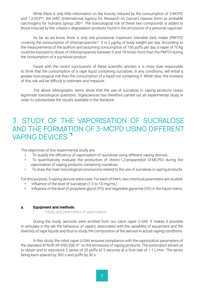While there is only little information on the toxicity induced by the consumption of 3-MCPD and 1,3-DCP25, the IARC (International Agency for Research on Cancer) classes them as probable carcinogens for humans (group 2B)<sup>26</sup>. The toxicological risk of these two compounds is added to those induced by the «classic» degradation products found in the emissions of a personal vaporiser.

As far as we know, there is only one provisional maximum tolerable daily intake (PMTDI) covering the consumption of chloropropanols<sup>24</sup>. It is 2 µg/kg of body weight per day. According to the measurements of the authors and assuming consumption of 150 puffs per day, a vaper of 70 kg could be exposed to doses of chloropropanols between 0 and 18 times more than the PMTDI during the consumption of a sucralose product.

Faced with the recent conclusions of these scientific articles, it is more than reasonable to think that the consumption of a vape liquid containing sucralose, in any conditions, will entail a greater toxicological risk than the consumption of a liquid not containing it. While clear, the increase of this risk will be difficult to estimate and measure.

The above bibliographic items show that the use of sucralose in vaping products raises legitimate toxicological questions. Ingésciences has therefore carried out an experimental study in order to substantiate the results available in the literature.

### 3. STUDY OF THE VAPORISATION OF SUCRALOSE AND THE FORMATION OF 3-MCPD USING DIFFERENT VAPING DEVICES<sup>7</sup>

The objectives of this experimental study are:

- To qualify the efficiency of vaporisation of sucralose using different vaping devices.
- To quantitatively evaluate the production of chloro-1,2-propanediol (3-MCPD) during the vaporisation of vaping products containing sucralose.
- To draw the main toxicological conclusions related to the use of sucralose in vaping products.

For this purpose, 3 vaping devices were used. For each of them, two chemical parameters are studied:

- Influence of the level of sucralose (1.5 to 10 mg/mL)
- Influence of the level of propylene glycol (PG) and vegetable glycerine (VG) in the liquid matrix.

#### **a. Equipment and methods**

i. Mode and parameters of vaporisation

During the study, aerosols were emitted from our robot vaper U-SAV. It makes it possible to simulate in the lab the behaviour of vapers, associated with the variability of equipment and the diversity of vape liquids and thus to study the composition of the aerosol in actual vaping conditions.

In this study, the robot vaper U-SAV ensures compliance with the vaporisation parameters of the standard AFNOR XP-D90-300-3<sup>27</sup> on the emissions of vaping products. The automaton allows us to obtain and to reproduce 5 series of 20 puffs of 3 seconds at a flow rate of 1.1 L/min. The series being each spaced by 300 s and puffs by 30 s.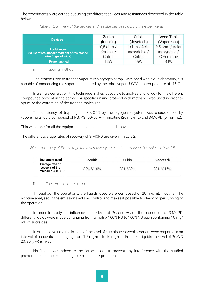The experiments were carried out using the different devices and resistances described in the table below:

|  | Table 1: Summary of the devices and resistances used during the experiments. |  |
|--|------------------------------------------------------------------------------|--|
|  |                                                                              |  |

| <b>Devices</b>                               | Zenith      | Cubis         | Veco Tank       |
|----------------------------------------------|-------------|---------------|-----------------|
|                                              | (Innokin)   | (Joyetech)    | (Vaporesso)     |
| <b>Resistances</b>                           | $0.5$ ohm / | 1 ohm / Acier | 0,5 ohm / Acier |
| (value of resistance/ material of resistance | Kanthal /   | inoxydable /  | inoxydable /    |
| wire / type of wick)                         | Coton       | Coton         | Céramique       |
| <b>Power applied</b>                         | 12W         | 15W           | 30W             |

#### ii. Trapping method

The system used to trap the vapours is a cryogenic trap. Developed within our laboratory, it is capable of condensing the vapours generated by the robot vaper U-SAV at a temperature of -45°C.

In a single generation, this technique makes it possible to analyse and to look for the different compounds present in the aerosol. A specific rinsing protocol with methanol was used in order to optimise the extraction of the trapped molecules.

The efficiency of trapping the 3-MCPD by the cryogenic system was characterised by vaporising a liquid composed of PG/VG (50/50; v/v), nicotine (20 mg/mL) and 3-MCPD (5 mg/mL).

This was done for all the equipment chosen and described above.

The different average rates of recovery of 3-MCPD are given in *Table 2*.

*Table 2: Summary of the average rates of recovery obtained for trapping the molecule 3-MCPD.*

| Equipment used                                        | 7enith        | Cubis          | Vecotank          |
|-------------------------------------------------------|---------------|----------------|-------------------|
| Average rate of<br>recovery of the<br>molecule 3-MCPD | $82\% + 10\%$ | $89\% + 1.8\%$ | $83\% + 1.16\%$ . |

#### iii. The formulations studied

Throughout the operations, the liquids used were composed of 20 mg/mL nicotine. The nicotine analysed in the emissions acts as control and makes it possible to check proper running of the operation.

In order to study the influence of the level of PG and VG on the production of 3-MCPD, different liquids were made up ranging from a matrix 100% PG to 100% VG each containing 10 mg/ mL of sucralose.

In order to evaluate the impact of the level of sucralose, several products were prepared in an interval of concentration ranging from 1.5 mg/mL to 10 mg/mL. For these liquids, the level of PG/VG 20/80 (v/v) is fixed.

No flavour was added to the liquids so as to prevent any interference with the studied phenomenon capable of leading to errors of interpretation.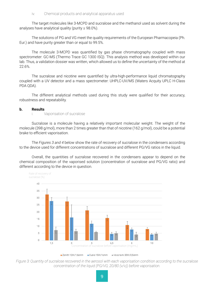The target molecules like 3-MCPD and sucralose and the methanol used as solvent during the analyses have analytical quality (purity  $\geq 98.0\%$ ).

The solutions of PG and VG meet the quality requirements of the European Pharmacopeia (Ph. Eur.) and have purity greater than or equal to 99.5%.

The molecule 3-MCPD was quantified by gas phase chromatography coupled with mass spectrometer: GC-MS (Thermo Trace GC 1300 ISQ). This analysis method was developed within our lab. Thus, a validation dossier was written, which allowed us to define the uncertainty of the method at 22.6%.

The sucralose and nicotine were quantified by ultra-high-performance liquid chromatography coupled with a UV detector and a mass spectrometer: UHPLC-UV/MS (Waters Acquity UPLC H-Class PDA QDA).

The different analytical methods used during this study were qualified for their accuracy, robustness and repeatability.

#### **b. Results**

i. Vaporisation of sucralose

Sucralose is a molecule having a relatively important molecular weight. The weight of the molecule (398 g/mol), more than 2 times greater than that of nicotine (162 g/mol), could be a potential brake to efficient vaporisation.

The *Figures 3 and 4* below show the rate of recovery of sucralose in the condensers according to the device used for different concentrations of sucralose and different PG/VG ratios in the liquid.

Overall, the quantities of sucralose recovered in the condensers appear to depend on the chemical composition of the vaporised solution (concentration of sucralose and PG/VG ratio) and different according to the device in question.



*Figure 3: Quantity of sucralose recovered in the aerosol with each vaporisation condition according to the sucralose concentration of the liquid (PG/VG; 20/80 (v/v)) before vaporisation.*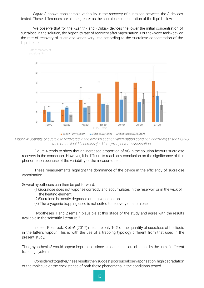*Figure 3* shows considerable variability in the recovery of sucralose between the 3 devices tested. These differences are all the greater as the sucralose concentration of the liquid is low.

We observe that for the «Zenith» and «Cubis» devices the lower the initial concentration of sucralose in the solution, the higher its rate of recovery after vaporisation. For the «Veco tank» device the rate of recovery of sucralose varies very little according to the sucralose concentration of the liquid tested.



*Figure 4: Quantity of sucralose recovered in the aerosol at each vaporisation condition according to the PG/VG ratio of the liquid ([sucralose] = 10 mg/mL) before vaporisation.*

Figure 4 tends to show that an increased proportion of VG in the solution favours sucralose recovery in the condenser. However, it is difficult to reach any conclusion on the significance of this phenomenon because of the variability of the measured results.

These measurements highlight the dominance of the device in the efficiency of sucralose vaporisation.

Several hypotheses can then be put forward:

- (1)Sucralose does not vaporise correctly and accumulates in the reservoir or in the wick of the heating element.
- (2)Sucralose is mostly degraded during vaporisation.
- (3) The cryogenic trapping used is not suited to recovery of sucralose.

Hypotheses 1 and 2 remain plausible at this stage of the study and agree with the results available in the scientific literature<sup>22</sup>.

Indeed, Rosbrook, K et *al*. (2017) measure only 10% of the quantity of sucralose of the liquid in the latter's vapour. This is with the use of a trapping typology different from that used in the present study.

Thus, hypothesis 3 would appear improbable since similar results are obtained by the use of different trapping systems.

Considered together, these results then suggest poor sucralose vaporisation, high degradation of the molecule or the coexistence of both these phenomena in the conditions tested.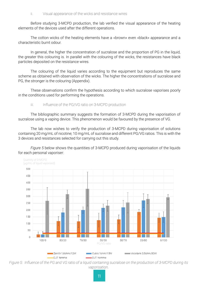#### ii. Visual appearance of the wicks and resistance wires

Before studying 3-MCPD production, the lab verified the visual appearance of the heating elements of the devices used after the different operations.

The cotton wicks of the heating elements have a «brown» even «black» appearance and a characteristic burnt odour.

In general, the higher the concentration of sucralose and the proportion of PG in the liquid. the greater this colouring is. In parallel with the colouring of the wicks, the resistances have black particles deposited on the resistance wires.

The colouring of the liquid varies according to the equipment but reproduces the same scheme as obtained with observation of the wicks. The higher the concentrations of sucralose and PG, the stronger is the colouring (Appendix).

These observations confirm the hypothesis according to which sucralose vaporises poorly in the conditions used for performing the operations.

iii. Influence of the PG/VG ratio on 3-MCPD production

The bibliographic summary suggests the formation of 3-MCPD during the vaporisation of sucralose using a vaping device. This phenomenon would be favoured by the presence of VG.

The lab now wishes to verify the production of 3-MCPD during vaporisation of solutions containing 20 mg/mL of nicotine; 10 mg/mL of sucralose and different PG/VG ratios. This is with the 3 devices and resistances selected for carrying out this study.

*Figure 5* below shows the quantities of 3-MCPD produced during vaporisation of the liquids for each personal vaporiser:



*Figure 5: Influence of the PG and VG ratio of a liquid containing sucralose on the production of 3-MCPD during its vaporisation.*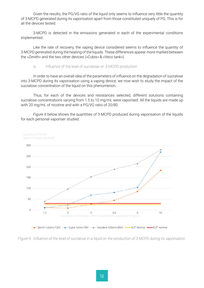Given the results, the PG/VG ratio of the liquid only seems to influence very little the quantity of 3-MCPD generated during its vaporisation apart from those constituted uniquely of PG. This is for all the devices tested.

3-MCPD is detected in the emissions generated in each of the experimental conditions implemented.

Like the rate of recovery, the vaping device considered seems to influence the quantity of 3-MCPD generated during the heating of the liquids. These differences appear more marked between the «Zenith» and the two other devices («Cubis» & «Veco tank»).

iv. Influence of the level of sucralose on 3-MCPD production

In order to have an overall idea of the parameters of influence on the degradation of sucralose into 3-MCPD during its vaporisation using a vaping device, we now wish to study the impact of the sucralose concentration of the liquid on this phenomenon.

Thus, for each of the devices and resistances selected, different solutions containing sucralose concentrations varying from 1.5 to 10 mg/mL were vaporised. All the liquids are made up with 20 mg/mL of nicotine and with a PG/VG ratio of 20/80.

*Figure 6* below shows the quantities of 3-MCPD produced during vaporisation of the liquids for each personal vaporiser studied.



*Figure 6: Influence of the level of sucralose in a liquid on the production of 3-MCPD during its vaporisation.*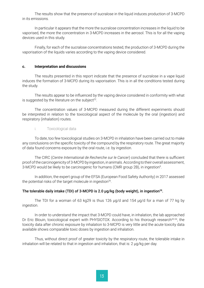The results show that the presence of sucralose in the liquid induces production of 3-MCPD in its emissions.

In particular it appears that the more the sucralose concentration increases in the liquid to be vaporised, the more the concentration in 3-MCPD increases in the aerosol. This is for all the vaping devices used in this study.

Finally, for each of the sucralose concentrations tested, the production of 3-MCPD during the vaporisation of the liquids varies according to the vaping device considered.

#### **c. Interpretation and discussions**

The results presented in this report indicate that the presence of sucralose in a vape liquid induces the formation of 3-MCPD during its vaporisation. This is in all the conditions tested during the study.

The results appear to be influenced by the vaping device considered in conformity with what is suggested by the literature on the subject $22$ .

The concentration values of 3-MCPD measured during the different experiments should be interpreted in relation to the toxicological aspect of the molecule by the oral (ingestion) and respiratory (inhalation) routes.

#### i. Toxicological data

To date, too few toxicological studies on 3-MCPD in inhalation have been carried out to make any conclusions on the specific toxicity of the compound by the respiratory route. The great majority of data found concerns exposure by the oral route, i.e. by ingestion.

The CIRC (*Centre International de Recherche sur le Cancer*) concluded that there is sufficient proof of the carcinogenicity of 3-MCPD by ingestion, in animals. According to their overall assessment, 3-MCPD would be likely to be carcinogenic for humans (CMR group 2B), in ingestion<sup>9</sup>.

In addition, the expert group of the EFSA (European Food Safety Authority) in 2017 assessed the potential risks of the target molecule in ingestion<sup>26</sup>.

#### The tolerable daily intake (TDI) of 3-MCPD is 2.0 μg/kg (body weight), in ingestion<sup>28</sup>.

The TDI for a woman of 63 kg29 is thus 126 µg/d and 154 µg/d for a man of 77 kg by ingestion.

In order to understand the impact that 3-MCPD could have, in inhalation, the lab approached Dr Eric Blouin, toxicological expert with PHYSIOTOX. According to his thorough research<sup>30-34</sup>, the toxicity data after chronic exposure by inhalation to 3-MCPD is very little and the acute toxicity data available shows comparable toxic doses by ingestion and inhalation.

Thus, without direct proof of greater toxicity by the respiratory route, the tolerable intake in inhalation will be related to that in ingestion and inhalation, that is: 2 µg/kg per day.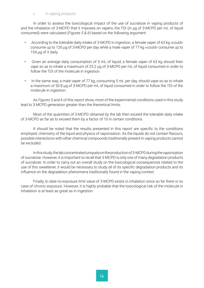#### ii. In vaping products

In order to assess the toxicological impact of the use of sucralose in vaping products of and the inhalation of 3-MCPD that it imposes on vapers, the TDI (in µg of 3-MCPD per mL of liquid consumed) were calculated (*Figures 5 & 6*) based on the following argument:

- According to the tolerable daily intake of 3-MCPD in ingestion, a female vaper of 63 kg «could» consume up to 126 µg of 3-MCPD per day while a male vaper of 77 kg «could» consume up to 154 µg of it daily.
- Given an average daily consumption of 5 mL of liquid, a female vaper of 63 kg should then vape so as to inhale a maximum of 25.2 µg of 3-MCPD per mL of liquid consumed in order to follow the TDI of the molecule in ingestion.
- In the same way, a male vaper of 77 kg, consuming 5 mL per day, should vape so as to inhale a maximum of 30.8 µg of 3-MCPD per mL of liquid consumed in order to follow the TDI of the molecule in ingestion.

As *Figures 5 and 6* of this report show, most of the experimental conditions used in this study lead to 3-MCPD generation greater than the theoretical limits.

Most of the quantities of 3-MCPD obtained by the lab then exceed the tolerable daily intake of 3-MCPD as far as to exceed them by a factor of 10 in certain conditions.

It should be noted that the results presented in this report are specific to the conditions employed: chemistry of the liquid and physics of vaporisation. As the liquids do not contain flavours, possible interactions with other chemical compounds traditionally present in vaping products cannot be excluded.

In this study, the lab concentrated uniquely on the production of 3-MCPD during the vaporisation of sucralose. However, it is important to recall that 3-MCPD is only one of many degradation products of sucralose. In order to carry out an overall study on the toxicological consequences related to the use of this sweetener, it would be necessary to study all of its specific degradation products and its influence on the degradation phenomena traditionally found in the vaping context.

Finally, to date no exposure limit value of 3-MCPD exists in inhalation since so far there is no case of chronic exposure. However, it is highly probable that the toxicological risk of the molecule in inhalation is at least as great as in ingestion.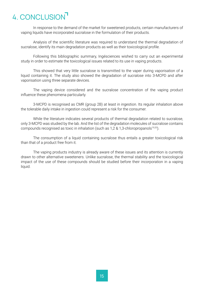# 4. CONCLUSION

In response to the demand of the market for sweetened products, certain manufacturers of vaping liquids have incorporated sucralose in the formulation of their products.

Analysis of the scientific literature was required to understand the thermal degradation of sucralose, identify its main degradation products as well as their toxicological profile.

Following this bibliographic summary, Ingésciences wished to carry out an experimental study in order to estimate the toxicological issues related to its use in vaping products.

This showed that very little sucralose is transmitted to the vaper during vaporisation of a liquid containing it. The study also showed the degradation of sucralose into 3-MCPD and after vaporisation using three separate devices.

The vaping device considered and the sucralose concentration of the vaping product influence these phenomena particularly.

3-MCPD is recognised as CMR (group 2B) at least in ingestion. Its regular inhalation above the tolerable daily intake in ingestion could represent a risk for the consumer.

While the literature indicates several products of thermal degradation related to sucralose, only 3-MCPD was studied by the lab. And the list of the degradation molecules of sucralose contains compounds recognised as toxic in inhalation (such as 1,2 & 1,3-chloropropanols<sup>19,20</sup>).

The consumption of a liquid containing sucralose thus entails a greater toxicological risk than that of a product free from it.

The vaping products industry is already aware of these issues and its attention is currently drawn to other alternative sweeteners. Unlike sucralose, the thermal stability and the toxicological impact of the use of these compounds should be studied before their incorporation in a vaping liquid.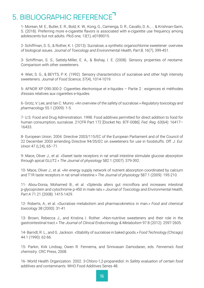## 5. BIBLIOGRAPHIC REFERENCE<sup>-1</sup>

1- Morean, M. E., Butler, E. R., Bold, K. W., Kong, G., Camenga, D. R., Cavallo, D. A., ... & Krishnan-Sarin, S. (2018). Preferring more e-cigarette flavors is associated with e-cigarette use frequency among adolescents but not adults. *PloS one, 13*(1), e0189015.

2- Schiffman, S. S., & Rother, K. I. (2013). Sucralose, a synthetic organochlorine sweetener: overview of biological issues. J*ournal of Toxicology and Environmental Health, Part B, 16*(7), 399-451.

3- Schiffman, S. S., Sattely-Miller, E. A., & Bishay, I. E. (2008). Sensory properties of neotame: Comparison with other sweeteners.

4- Wiet, S. G., & BEYTS, P. K. (1992). Sensory characteristics of sucralose and other high intensity sweeteners. *Journal of Food Science, 57*(4), 1014-1019.

5- AFNOR XP D90-300-2- Cigarettes électronique et e-liquides – Partie 2 : exigences et méthodes d'essais relatives aux cigarettes e-liquides.

6- Grotz, V. Lee, and Ian C. Munro. «An overview of the safety of sucralose.» *Regulatory toxicology and pharmacology* 55.1 (2009): 1-5.

7- U.S. Food and Drug Administration. 1998. Food additives permitted for direct addition to food for human consumption; sucralose. 21CFR Part 172 [Docket No. 87F-0086]. *Fed. Reg. 63*(64): 16417– 16433.

8- European Union. 2004. Directive 2003/115/EC of the European Parliament and of the Council of 22 December 2003 amending Directive 94/35/EC on sweeteners for use in foodstuffs. *Off. J. Eur. Union* 47 (L24), 65–71.

9- Mace, Oliver J., et al. «Sweet taste receptors in rat small intestine stimulate glucose absorption through apical GLUT2.» *The Journal of physiology* 582.1 (2007): 379-392.

10- Mace, Oliver J., et al. «An energy supply network of nutrient absorption coordinated by calcium and T1R taste receptors in rat small intestine.» *The Journal of physiology* 587.1 (2009): 195-210.

11- Abou-Donia, Mohamed B., et al. «Splenda alters gut microflora and increases intestinal p-glycoprotein and cytochrome p-450 in male rats.» *Journal of Toxicology and Environmental Health, Part A* 71.21 (2008): 1415-1429.

12- Roberts, A., et al. «Sucralose metabolism and pharmacokinetics in man.» *Food and chemical toxicology* 38 (2000): 31-41.

13- Brown, Rebecca J., and Kristina I. Rother. «Non-nutritive sweeteners and their role in the gastrointestinal tract.» *The Journal of Clinical Endocrinology & Metabolism* 97.8 (2012): 2597-2605.

14- Barndt, R. L., and G. Jackson. «Stability of sucralose in baked goods.» *Food Technology (Chicago)* 44.1 (1990): 62-66.

15- Parkin, Kirk Lindsay, Owen R. Fennema, and Srinivasan Damodaran, eds. *Fennema's food chemistry*. CRC Press, 2008.

16- World Health Organization. 2002. 3-Chloro-1,2-propanediol. In *Safety evaluation of certain food additives and contaminants*. WHO Food Additives Series 48.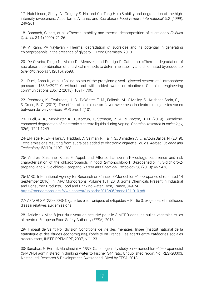17- Hutchinson, Sheryl A., Gregory S. Ho, and Chi-Tang Ho. «Stability and degradation of the highintensity sweeteners: Aspartame, Alitame, and Sucralose.» *Food reviews international*15.2 (1999): 249-261.

18- Bannach, Gilbert, et al. «Thermal stability and thermal decomposition of sucralose.» *Eclética Química* 34.4 (2009): 21-26.

19- A Rahn, VA Yaylayan - Thermal degradation of sucralose and its potential in generating chloropropanols in the presence of glycerol – Food Chemistry, 2010.

20- De Oliveira, Diogo N., Maico De Menezes, and Rodrigo R. Catharino. «Thermal degradation of sucralose: a combination of analytical methods to determine stability and chlorinated byproducts.» *Scientific reports* 5 (2015): 9598.

21- Duell, Anna K., et al. «Boiling points of the propylene glycol+ glycerol system at 1 atmosphere pressure: 188.6–292° C without and with added water or nicotine.» Chemical engineering communications 205.12 (2018): 1691-1700.

22- Rosbrook, K., Erythropel, H. C., DeWinter, T. M., Falinski, M., O'Malley, S., Krishnan-Sarin, S., ... & Green, B. G. (2017). The effect of sucralose on flavor sweetness in electronic cigarettes varies between delivery devices. *PloS one*, 12(10).

23- Duell, A. K., McWhirter, K. J., Korzun, T., Strongin, R. M., & Peyton, D. H. (2019). Sucraloseenhanced degradation of electronic cigarette liquids during Vaping. *Chemical research in toxicology*, 32(6), 1241-1249.

24- El-Hage, R., El-Hellani, A., Haddad, C., Salman, R., Talih, S., Shihadeh, A., ... & Aoun Saliba, N. (2019). Toxic emissions resulting from sucralose added to electronic cigarette liquids. *Aerosol Science and Technology*, 53(10), 1197-1203.

25- Andres, Susanne, Klaus E. Appel, and Alfonso Lampen. «Toxicology, occurrence and risk characterisation of the chloropropanols in food: 2-monochloro-1, 3-propanediol, 1, 3-dichloro-2 propanol and 2, 3-dichloro-1-propanol.» *Food and Chemical Toxicology* 58 (2013): 467-478.

26- IARC: International Agency for Research on Cancer. 3-Monochloro-1,2-propanediol (updated 14 September 2016). In: IARC Monographs. Volume 101. 2013. Some Chemicals Present in Industrial and Consumer Products, Food and Drinking-water. Lyon, France, 349-74. <https://monographs.iarc.fr/wp-content/uploads/2018/06/mono101-010.pdf>

27- AFNOR XP D90-300-3- Cigarettes électroniques et e-liquides – Partie 3: exigences et méthodes d'essai relatives aux émissions

28- Article : « Mise à jour du niveau de sécurité pour le 3-MCPD dans les huiles végétales et les aliments », European Food Safety Authority (EFSA), 2018

29- Thibaut de Saint Pol, division Conditions de vie des ménages, Insee (Institut national de la statistique et des études économiques), L'obésité en France : les écarts entre catégories sociales s'accroissent, INSEE PREMIERE, 2007, N°1123

30- Sunahara G, Perrin I, Marchesini M. 1993. Carcinogenicity study on 3-monochloro-1,2-propanediol (3-MCPD) administered in drinking water to Fischer 344 rats. Unpublished report No. RESR93003. Nestec Ltd. Research & Development, Switzerland. Cited by EFSA, 2018.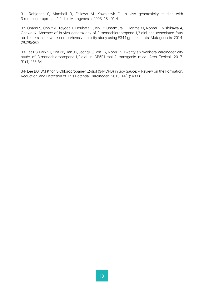31- Robjohns S, Marshall R, Fellows M, Kowalczyk G. In vivo genotoxicity studies with 3-monochloropropan-1,2-diol. Mutagenesis. 2003. 18:401-4.

32- Onami S, Cho YM, Toyoda T, Horibata K, Ishii Y, Umemura T, Honma M, Nohmi T, Nishikawa A, Ogawa K. Absence of in vivo genotoxicity of 3-monochloropropane-1,2-diol and associated fatty acid esters in a 4-week comprehensive toxicity study using F344 gpt delta rats. Mutagenesis. 2014. 29:295-302.

33- Lee BS, Park SJ, Kim YB, Han JS, Jeong EJ, Son HY, Moon KS. Twenty-six-week oral carcinogenicity study of 3-monochloropropane-1,2-diol in CB6F1-rasH2 transgenic mice. Arch Toxicol. 2017. 91(1):453-64.

34- Lee BQ, SM Khor. 3-Chloropropane-1,2-diol (3-MCPD) in Soy Sauce: A Review on the Formation, Reduction, and Detection of This Potential Carcinogen. 2015. 14(1): 48-66.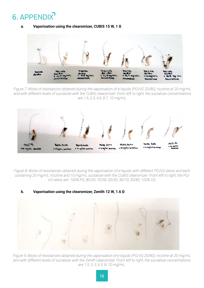# 6. APPENDIX

#### **a. Vaporisation using the clearomizer, CUBIS 15 W, 1 Ω**



*Figure 7: Wicks of resistances obtained during the vaporisation of e-liquids (PG/VG 20/80), nicotine at 20 mg/mL and with different levels of sucralose with the CUBIS clearomizer. From left to right, the sucralose concentrations are 1.6, 2.3, 4.6, 8.7, 10 mg/mL.*



*Figure 8: Wicks of resistances obtained during the vaporisation of e-liquids with different PG/VG ratios and each containing 20 mg/mL nicotine and 10 mg/mL sucralose with the CUBIS clearomizer. From left to right, the PG/ VG ratios are: 100% PG; 80/20; 70/30; 50/50; 30/70; 20/80; 100% VG.*

### **b. Vaporisation using the clearomizer, Zenith 12 W, 1.6 Ω**



*Figure 9: Wicks of resistances obtained during the vaporisation of e-liquids (PG/VG 20/80), nicotine at 20 mg/mL and with different levels of sucralose with the Zenith clearomizer. From left to right, the sucralose concentrations are 1.5, 3, 5, 6.5, 8, 10 mg/mL.*